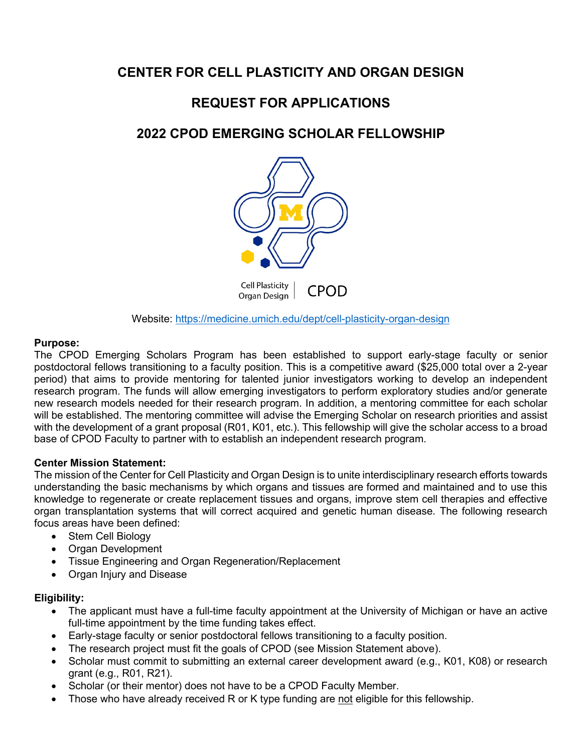# **CENTER FOR CELL PLASTICITY AND ORGAN DESIGN**

# **REQUEST FOR APPLICATIONS**

# **2022 CPOD EMERGING SCHOLAR FELLOWSHIP**



Website:<https://medicine.umich.edu/dept/cell-plasticity-organ-design>

## **Purpose:**

The CPOD Emerging Scholars Program has been established to support early-stage faculty or senior postdoctoral fellows transitioning to a faculty position. This is a competitive award (\$25,000 total over a 2-year period) that aims to provide mentoring for talented junior investigators working to develop an independent research program. The funds will allow emerging investigators to perform exploratory studies and/or generate new research models needed for their research program. In addition, a mentoring committee for each scholar will be established. The mentoring committee will advise the Emerging Scholar on research priorities and assist with the development of a grant proposal (R01, K01, etc.). This fellowship will give the scholar access to a broad base of CPOD Faculty to partner with to establish an independent research program.

## **Center Mission Statement:**

The mission of the Center for Cell Plasticity and Organ Design is to unite interdisciplinary research efforts towards understanding the basic mechanisms by which organs and tissues are formed and maintained and to use this knowledge to regenerate or create replacement tissues and organs, improve stem cell therapies and effective organ transplantation systems that will correct acquired and genetic human disease. The following research focus areas have been defined:

- Stem Cell Biology
- Organ Development
- Tissue Engineering and Organ Regeneration/Replacement
- Organ Injury and Disease

## **Eligibility:**

- The applicant must have a full-time faculty appointment at the University of Michigan or have an active full-time appointment by the time funding takes effect.
- Early-stage faculty or senior postdoctoral fellows transitioning to a faculty position.
- The research project must fit the goals of CPOD (see Mission Statement above).
- Scholar must commit to submitting an external career development award (e.g., K01, K08) or research grant (e.g., R01, R21).
- Scholar (or their mentor) does not have to be a CPOD Faculty Member.
- Those who have already received R or K type funding are not eligible for this fellowship.